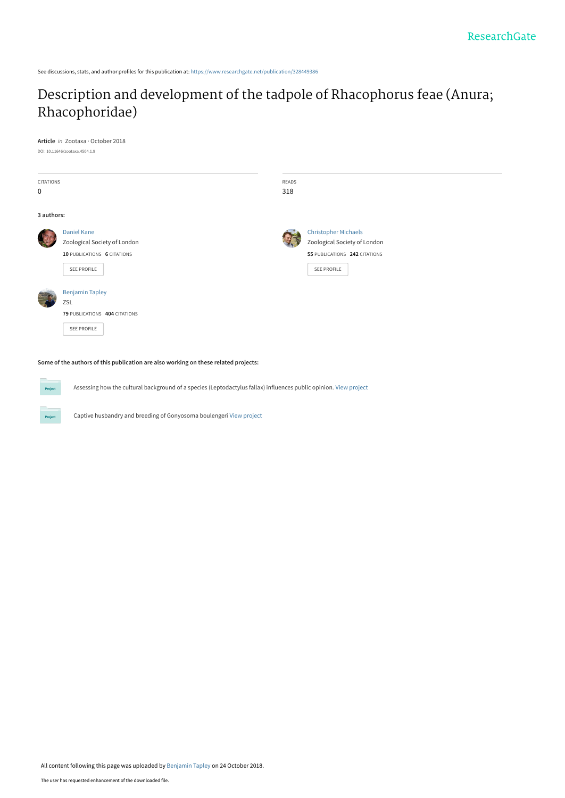See discussions, stats, and author profiles for this publication at: [https://www.researchgate.net/publication/328449386](https://www.researchgate.net/publication/328449386_Description_and_development_of_the_tadpole_of_Rhacophorus_feae_Anura_Rhacophoridae?enrichId=rgreq-a2b955dbae9579ae2ea975ed60825c0a-XXX&enrichSource=Y292ZXJQYWdlOzMyODQ0OTM4NjtBUzo2ODUxNjA4NDAzMTg5ODJAMTU0MDM2NjQ4Mjk3NA%3D%3D&el=1_x_2&_esc=publicationCoverPdf)

## [Description and development of the tadpole of Rhacophorus feae \(Anura;](https://www.researchgate.net/publication/328449386_Description_and_development_of_the_tadpole_of_Rhacophorus_feae_Anura_Rhacophoridae?enrichId=rgreq-a2b955dbae9579ae2ea975ed60825c0a-XXX&enrichSource=Y292ZXJQYWdlOzMyODQ0OTM4NjtBUzo2ODUxNjA4NDAzMTg5ODJAMTU0MDM2NjQ4Mjk3NA%3D%3D&el=1_x_3&_esc=publicationCoverPdf) Rhacophoridae)

**Article** in Zootaxa · October 2018 DOI: 10.11646/zootaxa.4504.1.9

**Project** 

| CITATIONS<br>$\mathbf 0$ |                                                                                                  | READS<br>318 |                                                                                                             |
|--------------------------|--------------------------------------------------------------------------------------------------|--------------|-------------------------------------------------------------------------------------------------------------|
| 3 authors:               |                                                                                                  |              |                                                                                                             |
|                          | <b>Daniel Kane</b><br>Zoological Society of London<br>10 PUBLICATIONS 6 CITATIONS<br>SEE PROFILE |              | <b>Christopher Michaels</b><br>Zoological Society of London<br>55 PUBLICATIONS 242 CITATIONS<br>SEE PROFILE |
|                          | <b>Benjamin Tapley</b><br>ZSL<br>79 PUBLICATIONS 404 CITATIONS<br>SEE PROFILE                    |              |                                                                                                             |

**Some of the authors of this publication are also working on these related projects:**

Assessing how the cultural background of a species (Leptodactylus fallax) influences public opinion. [View project](https://www.researchgate.net/project/Assessing-how-the-cultural-background-of-a-species-Leptodactylus-fallax-influences-public-opinion?enrichId=rgreq-a2b955dbae9579ae2ea975ed60825c0a-XXX&enrichSource=Y292ZXJQYWdlOzMyODQ0OTM4NjtBUzo2ODUxNjA4NDAzMTg5ODJAMTU0MDM2NjQ4Mjk3NA%3D%3D&el=1_x_9&_esc=publicationCoverPdf)

Captive husbandry and breeding of Gonyosoma boulengeri [View project](https://www.researchgate.net/project/Captive-husbandry-and-breeding-of-Gonyosoma-boulengeri?enrichId=rgreq-a2b955dbae9579ae2ea975ed60825c0a-XXX&enrichSource=Y292ZXJQYWdlOzMyODQ0OTM4NjtBUzo2ODUxNjA4NDAzMTg5ODJAMTU0MDM2NjQ4Mjk3NA%3D%3D&el=1_x_9&_esc=publicationCoverPdf)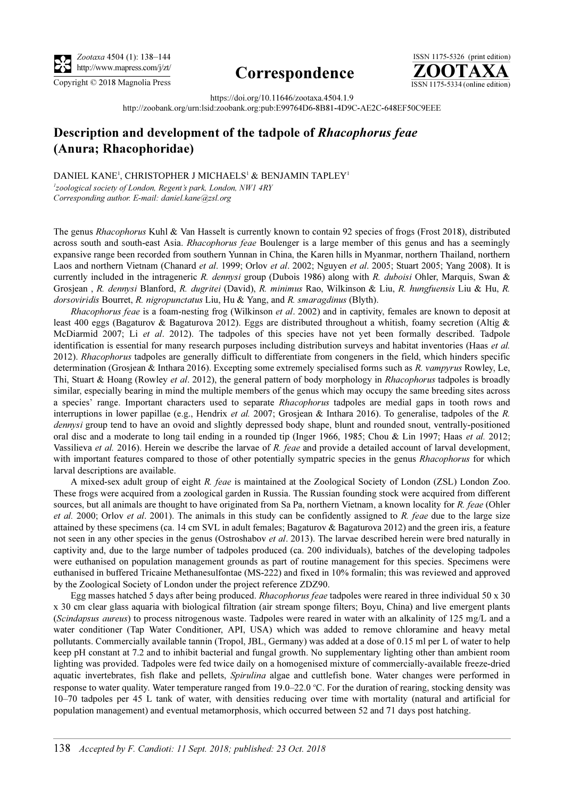

## http://www.mapress.com/j/zt/ Correspondence



https://doi.org/10.11646/zootaxa.4504.1.9

http://zoobank.org/urn:lsid:zoobank.org:pub:E99764D6-8B81-4D9C-AE2C-648EF50C9EEE

## Description and development of the tadpole of Rhacophorus feae (Anura; Rhacophoridae)

DANIEL KANE<sup>1</sup>, CHRISTOPHER J MICHAELS<sup>1</sup> & BENJAMIN TAPLEY<sup>1</sup>

<sup>1</sup>zoological society of London, Regent's park, London, NW1 4RY Corresponding author. E-mail: [daniel.kane@zsl.org](mailto:daniel.kane@zsl.org)

The genus Rhacophorus Kuhl & Van Hasselt is currently known to contain 92 species of frogs (Frost 2018), distributed across south and south-east Asia. Rhacophorus feae Boulenger is a large member of this genus and has a seemingly expansive range been recorded from southern Yunnan in China, the Karen hills in Myanmar, northern Thailand, northern Laos and northern Vietnam (Chanard et al. 1999; Orlov et al. 2002; Nguyen et al. 2005; Stuart 2005; Yang 2008). It is currently included in the intrageneric R. dennysi group (Dubois 1986) along with R. duboisi Ohler, Marquis, Swan & Grosjean , R. dennysi Blanford, R. dugritei (David), R. minimus Rao, Wilkinson & Liu, R. hungfuensis Liu & Hu, R. dorsoviridis Bourret, R. nigropunctatus Liu, Hu & Yang, and R. smaragdinus (Blyth).

Rhacophorus feae is a foam-nesting frog (Wilkinson et al. 2002) and in captivity, females are known to deposit at least 400 eggs (Bagaturov & Bagaturova 2012). Eggs are distributed throughout a whitish, foamy secretion (Altig & McDiarmid 2007; Li et al. 2012). The tadpoles of this species have not yet been formally described. Tadpole identification is essential for many research purposes including distribution surveys and habitat inventories (Haas et al. 2012). Rhacophorus tadpoles are generally difficult to differentiate from congeners in the field, which hinders specific determination (Grosjean & Inthara 2016). Excepting some extremely specialised forms such as R. vampyrus Rowley, Le, Thi, Stuart & Hoang (Rowley et al. 2012), the general pattern of body morphology in Rhacophorus tadpoles is broadly similar, especially bearing in mind the multiple members of the genus which may occupy the same breeding sites across a species' range. Important characters used to separate Rhacophorus tadpoles are medial gaps in tooth rows and interruptions in lower papillae (e.g., Hendrix *et al.* 2007; Grosjean & Inthara 2016). To generalise, tadpoles of the R. dennysi group tend to have an ovoid and slightly depressed body shape, blunt and rounded snout, ventrally-positioned oral disc and a moderate to long tail ending in a rounded tip (Inger 1966, 1985; Chou & Lin 1997; Haas et al. 2012; Vassilieva et al. 2016). Herein we describe the larvae of R. feae and provide a detailed account of larval development, with important features compared to those of other potentially sympatric species in the genus Rhacophorus for which larval descriptions are available.

A mixed-sex adult group of eight R. feae is maintained at the Zoological Society of London (ZSL) London Zoo. These frogs were acquired from a zoological garden in Russia. The Russian founding stock were acquired from different sources, but all animals are thought to have originated from Sa Pa, northern Vietnam, a known locality for R. feae (Ohler et al. 2000; Orlov et al. 2001). The animals in this study can be confidently assigned to R. feae due to the large size attained by these specimens (ca. 14 cm SVL in adult females; Bagaturov & Bagaturova 2012) and the green iris, a feature not seen in any other species in the genus (Ostroshabov *et al.* 2013). The larvae described herein were bred naturally in captivity and, due to the large number of tadpoles produced (ca. 200 individuals), batches of the developing tadpoles were euthanised on population management grounds as part of routine management for this species. Specimens were euthanised in buffered Tricaine Methanesulfontae (MS-222) and fixed in 10% formalin; this was reviewed and approved by the Zoological Society of London under the project reference ZDZ90.

Egg masses hatched 5 days after being produced. Rhacophorus feae tadpoles were reared in three individual 50 x 30 x 30 cm clear glass aquaria with biological filtration (air stream sponge filters; Boyu, China) and live emergent plants (Scindapsus aureus) to process nitrogenous waste. Tadpoles were reared in water with an alkalinity of 125 mg/L and a water conditioner (Tap Water Conditioner, API, USA) which was added to remove chloramine and heavy metal pollutants. Commercially available tannin (Tropol, JBL, Germany) was added at a dose of 0.15 ml per L of water to help keep pH constant at 7.2 and to inhibit bacterial and fungal growth. No supplementary lighting other than ambient room lighting was provided. Tadpoles were fed twice daily on a homogenised mixture of commercially-available freeze-dried aquatic invertebrates, fish flake and pellets, Spirulina algae and cuttlefish bone. Water changes were performed in response to water quality. Water temperature ranged from 19.0–22.0 °C. For the duration of rearing, stocking density was 10–70 tadpoles per 45 L tank of water, with densities reducing over time with mortality (natural and artificial for population management) and eventual metamorphosis, which occurred between 52 and 71 days post hatching.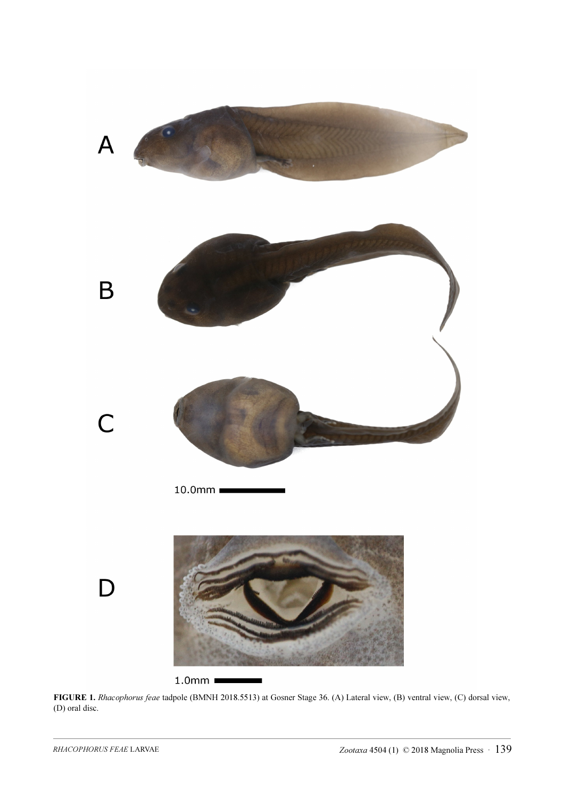

FIGURE 1. Rhacophorus feae tadpole (BMNH 2018.5513) at Gosner Stage 36. (A) Lateral view, (B) ventral view, (C) dorsal view, (D) oral disc.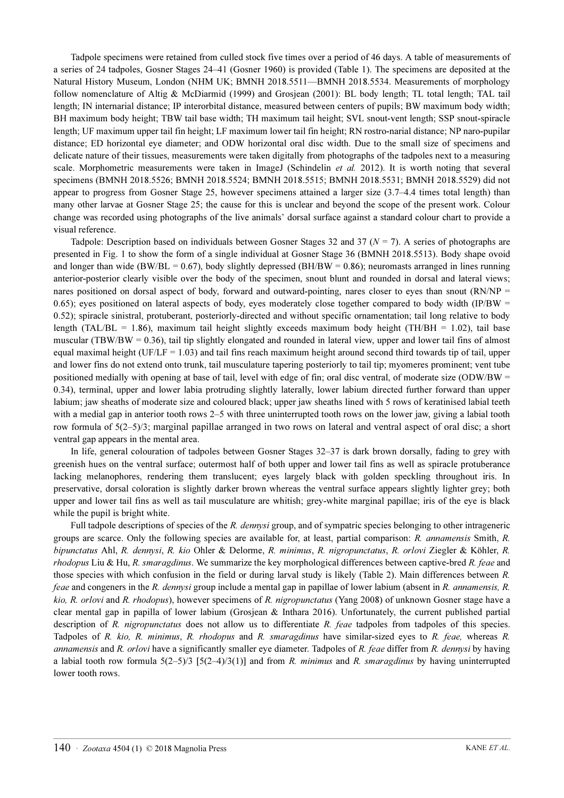Tadpole specimens were retained from culled stock five times over a period of 46 days. A table of measurements of a series of 24 tadpoles, Gosner Stages 24–41 (Gosner 1960) is provided (Table 1). The specimens are deposited at the Natural History Museum, London (NHM UK; BMNH 2018.5511—BMNH 2018.5534. Measurements of morphology follow nomenclature of Altig & McDiarmid (1999) and Grosjean (2001): BL body length; TL total length; TAL tail length; IN internarial distance; IP interorbital distance, measured between centers of pupils; BW maximum body width; BH maximum body height; TBW tail base width; TH maximum tail height; SVL snout-vent length; SSP snout-spiracle length; UF maximum upper tail fin height; LF maximum lower tail fin height; RN rostro-narial distance; NP naro-pupilar distance; ED horizontal eye diameter; and ODW horizontal oral disc width. Due to the small size of specimens and delicate nature of their tissues, measurements were taken digitally from photographs of the tadpoles next to a measuring scale. Morphometric measurements were taken in ImageJ (Schindelin et al. 2012). It is worth noting that several specimens (BMNH 2018.5526; BMNH 2018.5524; BMNH 2018.5515; BMNH 2018.5531; BMNH 2018.5529) did not appear to progress from Gosner Stage 25, however specimens attained a larger size (3.7–4.4 times total length) than many other larvae at Gosner Stage 25; the cause for this is unclear and beyond the scope of the present work. Colour change was recorded using photographs of the live animals' dorsal surface against a standard colour chart to provide a visual reference.

Tadpole: Description based on individuals between Gosner Stages 32 and 37 ( $N = 7$ ). A series of photographs are presented in Fig. 1 to show the form of a single individual at Gosner Stage 36 (BMNH 2018.5513). Body shape ovoid and longer than wide (BW/BL = 0.67), body slightly depressed (BH/BW = 0.86); neuromasts arranged in lines running anterior-posterior clearly visible over the body of the specimen, snout blunt and rounded in dorsal and lateral views; nares positioned on dorsal aspect of body, forward and outward-pointing, nares closer to eyes than snout  $(RN/NP =$ 0.65); eyes positioned on lateral aspects of body, eyes moderately close together compared to body width (IP/BW  $=$ 0.52); spiracle sinistral, protuberant, posteriorly-directed and without specific ornamentation; tail long relative to body length (TAL/BL = 1.86), maximum tail height slightly exceeds maximum body height (TH/BH = 1.02), tail base muscular (TBW/BW =  $0.36$ ), tail tip slightly elongated and rounded in lateral view, upper and lower tail fins of almost equal maximal height (UF/LF = 1.03) and tail fins reach maximum height around second third towards tip of tail, upper and lower fins do not extend onto trunk, tail musculature tapering posteriorly to tail tip; myomeres prominent; vent tube positioned medially with opening at base of tail, level with edge of fin; oral disc ventral, of moderate size (ODW/BW  $=$ 0.34), terminal, upper and lower labia protruding slightly laterally, lower labium directed further forward than upper labium; jaw sheaths of moderate size and coloured black; upper jaw sheaths lined with 5 rows of keratinised labial teeth with a medial gap in anterior tooth rows 2–5 with three uninterrupted tooth rows on the lower jaw, giving a labial tooth row formula of 5(2–5)/3; marginal papillae arranged in two rows on lateral and ventral aspect of oral disc; a short ventral gap appears in the mental area.

In life, general colouration of tadpoles between Gosner Stages 32–37 is dark brown dorsally, fading to grey with greenish hues on the ventral surface; outermost half of both upper and lower tail fins as well as spiracle protuberance lacking melanophores, rendering them translucent; eyes largely black with golden speckling throughout iris. In preservative, dorsal coloration is slightly darker brown whereas the ventral surface appears slightly lighter grey; both upper and lower tail fins as well as tail musculature are whitish; grey-white marginal papillae; iris of the eye is black while the pupil is bright white.

Full tadpole descriptions of species of the R. dennysi group, and of sympatric species belonging to other intrageneric groups are scarce. Only the following species are available for, at least, partial comparison: R. annamensis Smith, R. bipunctatus Ahl, R. dennysi, R. kio Ohler & Delorme, R. minimus, R. nigropunctatus, R. orlovi Ziegler & Köhler, R. rhodopus Liu & Hu, R. smaragdinus. We summarize the key morphological differences between captive-bred R. feae and those species with which confusion in the field or during larval study is likely (Table 2). Main differences between R. feae and congeners in the R. dennysi group include a mental gap in papillae of lower labium (absent in R. annamensis, R. kio, R. orlovi and R. rhodopus), however specimens of R. nigropunctatus (Yang 2008) of unknown Gosner stage have a clear mental gap in papilla of lower labium (Grosjean & Inthara 2016). Unfortunately, the current published partial description of R. nigropunctatus does not allow us to differentiate R. feae tadpoles from tadpoles of this species. Tadpoles of R. kio, R. minimus, R. rhodopus and R. smaragdinus have similar-sized eyes to R. feae, whereas R. annamensis and R. orlovi have a significantly smaller eye diameter. Tadpoles of R. feae differ from R. dennysi by having a labial tooth row formula  $5(2-5)/3$  [5(2-4)/3(1)] and from R. minimus and R. smaragdinus by having uninterrupted lower tooth rows.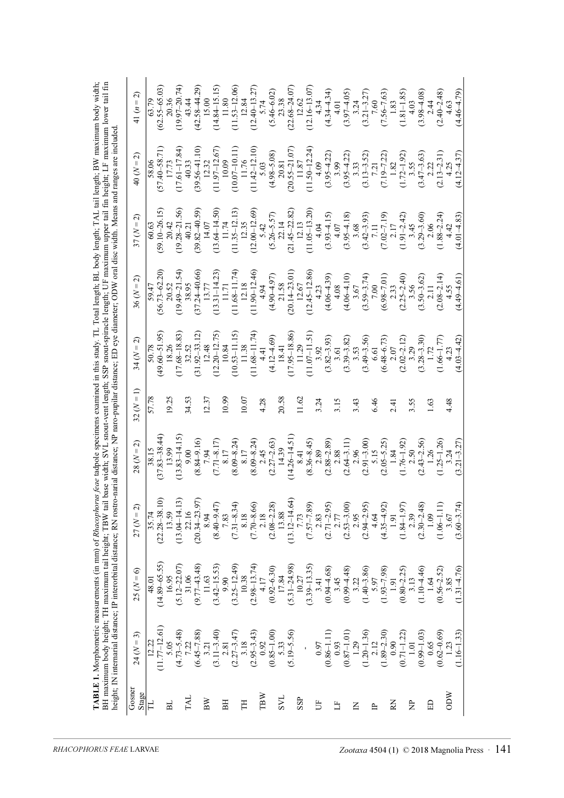| Gosner       | $24 (N=3)$              | $25 (N = 6)$            | $27(N = 2)$             | $28 (N = 2)$            | $32 (N = 1)$ | $34(N=2)$               | $36 (N = 2)$                | 37 $(N = 2)$            | $40 (N = 2)$            | 41 $(n = 2)$              |
|--------------|-------------------------|-------------------------|-------------------------|-------------------------|--------------|-------------------------|-----------------------------|-------------------------|-------------------------|---------------------------|
| Stage        |                         |                         |                         |                         |              |                         |                             |                         |                         |                           |
| H            | 12.22                   | 48.01                   | 35.74                   | 38.15                   | 57.78        | 50.78                   | 59.47                       | 60.63                   | 58.06                   | 63.79                     |
|              | $(11.77 - 12.61)$       | $(14.89 - 65.55)$       | $(22.28 - 38.1)$        | $(37.83 - 38.44)$       |              | $(49.60 - 51.95)$       | $(56.73 - 62.20)$           | $(59.10 - 26.15)$       | $(57.40 - 58.71)$       | $(62.55 - 65.03)$         |
| <b>BL</b>    | 5.05                    | 16.95                   | 13.59                   | 13.99                   | 19.25        | 18.26                   |                             | 20.42                   | 17.73                   | 20.36                     |
|              | $(4.73 - 5.48)$         | $(5.12 - 22.07)$        | $(13.04 - 14.13)$       | $(13.83 - 14.15)$       |              | $(17.68 - 18.83)$       | $(19.49 - 21.54)$           | $(19.28 - 21.56)$       | $(17.61 - 17.84)$       | $(19.97 - 20.74)$         |
| <b>TAL</b>   | 7.22                    | 31.06                   | 22.16                   | 9.00                    | 34.53        | 32.52                   | 38.95                       | 40.21                   | 40.33                   | 43.44                     |
|              | $(6.45 - 7.88)$         | $(9.77 - 43.48)$        | $(20.34 - 23.97$        | $(8.84 - 9.16)$         |              | $(31.92 - 33.12)$       | $(37.24 - 40.66)$           | $(39.82 - 40.59)$       | $(39.56 - 41.10)$       | $(42.58 - 44.29)$         |
| $_{\rm BW}$  | 3.21                    | 11.63                   | 8.94                    | 7.94                    | 12.37        | 12.48                   | 13.77                       | 14.07                   | 12.32                   | 15.00                     |
|              | $(3.11 - 3.40)$         | $(3.42 - 15.53)$        | $(8.40 - 9.47)$         | $(7.71 - 8.17)$         |              | $(12.20 - 12.75)$       | $(13.31 - 14.23)$           | $(13.64 - 14.50)$       | $(11.97 - 12.67)$       | $(14.84 - 15.15)$         |
| BH           | 2.81                    | 9.90                    | 7.83                    | 8.17                    | 10.99        | 10.84                   | 11.71                       | 11.74                   | 10.09                   | 11.80                     |
|              | $(2.27 - 3.47)$         | $(3.25 - 12.49)$        | $(7.31 - 8.34)$         | $(8.09 - 8.24)$         |              | $(10.53 - 11.15)$       | $(11.68 - 11.74)$           | $(11.35 - 12.13)$       | $(10.07 - 10.11)$       | $(11.53 - 12.06)$         |
| E            | 3.18                    | 10.38                   | 8.18                    | 8.17                    | 10.07        | 11.38                   | 12.18                       | 12.35                   | 11.76                   | 12.84                     |
|              | $(2.95 - 3.43)$         | $(2.98 - 13.74)$        | $(7.70 - 8.66)$         | $(8.09 - 8.24)$         |              | $(11.68 - 11.74)$       | $(11.90 - 12.46)$           | $(12.00 - 12.69)$       | $(11.42 - 12.10)$       | $(12.40 - 13.27)$         |
| TBW          | 0.92                    | 4.17                    | 2.18                    | 2.45                    | 4.28         | 4.41                    | 4.94                        | 5.42                    | 5.03                    | 5.74                      |
|              | $(0.85 - 1.00)$         | $(0.92 - 6.30)$         | $(2.08 - 2.28)$         | $(2.27 - 2.63)$         |              | $(4.12 - 4.69)$         | $(4.90 - 4.97)$             | $(5.26 - 5.57)$         | $(4.98 - 5.08)$         | $(5.46 - 6.02)$           |
| <b>L</b>     | 5.33                    | 17.84                   | 13.88                   | 14.39                   | 20.58        | 18.41                   | 21.58                       | 22.14                   | 20.81                   | 23.38                     |
|              | $(5.19 - 5.56)$         | $(5.31 - 24.98)$        | $(13.12 - 14.64)$       | $(14.26 - 14.51)$       |              | $(17.95 - 18.86)$       | $(20.14 - 23.01)$           | $(21.45 - 22.82)$       | $(20.55 - 21.07)$       | $(22.68 - 24.07)$         |
| SSP          |                         | 10.27                   | 7.73                    | 8.41                    | 11.62        | 11.29                   | 12.67                       | 12.13                   | 11.87                   | 12.62                     |
|              |                         | $(3.39 - 13.35)$        | $(7.57 - 7.89)$         | $(8.36 - 8.45)$         |              | $(11.07 - 11.51)$       | $(12.45 - 12.86)$           | $(11.05 - 13.20)$       | $(11.50 - 12.24)$       | $(12.16 - 13.07)$         |
| $5^{\circ}$  | 0.97                    | 3.41                    | 2.83                    | 2.89                    | 3.24         | 3.92                    | 4.23                        | 4.04                    | 4.09                    | 4.34                      |
|              | $(0.86 - 1.11)$         | $(0.94 - 4.68)$         | $(2.71 - 2.95)$         | $(2.88 - 2.89)$         |              | $(3.82 - 3.93)$         | $(4.06 - 4.39)$             | $(3.93 - 4.15)$         | $(3.95 - 4.22)$         | $(4.34 - 4.34)$           |
| 占            | 0.93                    | 3.45                    | 2.77                    | 2.88                    | 3.15         | 3.61                    | 4.08                        | 4.07                    | 3.99                    | 4.01                      |
|              | $(0.87 - 1.01)$         | $(0.99 - 4.48)$         | $(2.53 - 3.00)$         | $(2.64 - 3.11)$         |              | $(3.39 - 3.82)$         | $(4.06 - 10)$               | $(3.95 - 4.18)$         | $(3.95 - 4.22)$         | $(3.97 - 4.05)$<br>3.24   |
| 叾            | 1.29                    | 3.22                    | 2.95                    | 2.96                    | 3.43         | 3.53                    | 3.67                        | 3.68                    | 3.33                    |                           |
| $\mathbb{R}$ | $(1.20 - 1.36)$<br>2.12 | $(1.40 - 3.86)$<br>5.97 | $(2.94 - 2.95)$<br>4.64 | $(2.91 - 3.00)$<br>5.15 | 6.46         | $(3.49 - 3.56)$<br>6.61 | $(3.59 - 3.74)$<br>$7.00\,$ | $(3.42 - 3.93)$<br>7.11 | $(3.13 - 3.52)$<br>7.21 | $(3.21 - 3.27)$<br>$7.60$ |
|              | $(1.89 - 2.30)$         | $(1.93 - 7.98)$         | $(4.35 - 4.92)$         | $(2.05 - 5.25)$         |              | $(6.48 - 6.73)$         | $(6.98 - 7.01)$             | $(7.02 - 7.19)$         | $(7.19 - 7.22)$         | $(7.56 - 7.63)$           |
| K            | 0.90                    | 1.91                    | 1.91                    | 1.84                    | 2.41         | 2.07                    | 2.33                        | 2.17                    | $1.82$                  | 1.83                      |
|              | $(0.71 - 1.22)$         | $(0.80 - 2.25)$         | $(1.84 - 1.97)$         | $(1.76 - 1.92)$         |              | $(2.02 - 2.12)$         | $(2.25 - 2.40)$             | $(1.91 - 2.42)$         | $(1.72 - 1.92)$         | $(1.81 - 1.85)$           |
| È            | 1.01                    | 3.13                    | 2.39                    | 2.50                    | 3.55         | 3.29                    | 3.56                        | 3.45                    | 3.55                    | 4.03                      |
|              | $(0.99 - 1.03)$         | $(1.10 - 4.46)$         | $(2.30 - 2.48)$         | $(2.43 - 2.56)$         |              | $(3.28 - 3.30)$         | $(3.50 - 3.62)$             | $(3.29 - 3.60)$         | $(3.47 - 3.63)$         | $(3.98 - 4.08)$           |
| ED           | 0.65                    | 1.64                    | 1.09                    | 1.26                    | 1.63         | 1.72                    | 2.11                        | 2.06                    | 2.22                    | 2.44                      |
|              | $(0.62 - 0.69)$         | $(0.56 - 2.52)$         | $(1.06 - 1.11)$         | $(1.25 - 1.26)$         |              | $(1.66 - 1.77)$         | $(2.08 - 2.14)$             | $(1.88 - 2.24)$         | $(2.13 - 2.31)$         | $(2.40 - 2.48)$           |
| ODW          | 1.23                    | 3.85                    | 3.67                    | 3.24                    | 4.48         | 4.23                    | 4.55                        | 4.42                    | 4.25                    | 4.63                      |
|              | $(1.16 - 1.33)$         | $(1.31 - 4.76)$         | $(3.60 - 3.74)$         | $(3.21 - 3.27)$         |              | $(4.03 - 4.42)$         | $(4.49 - 4.61)$             | $(4.01 - 4.83)$         | $(4.12 - 4.37)$         | $(4.46 - 4.79)$           |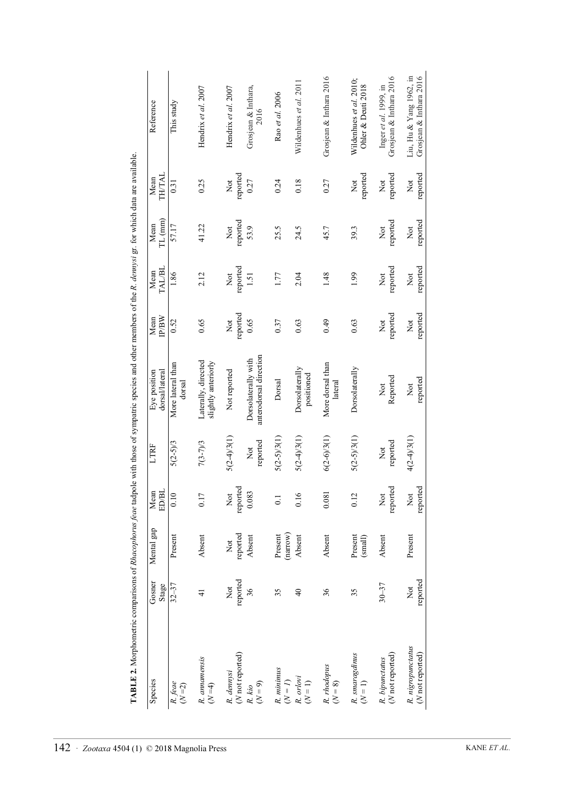| Species                                    | Gosner<br>Stage                      | Mental gap                              | Mean<br>ED/BI   | LTRF                                | dorsal/lateral<br>Eye position                | <b>IP/BW</b><br>Mean         | TAL/BL<br>Mean  | TL (mm)<br>Mean | TH/TAL<br>Mean                      | Reference                                          |
|--------------------------------------------|--------------------------------------|-----------------------------------------|-----------------|-------------------------------------|-----------------------------------------------|------------------------------|-----------------|-----------------|-------------------------------------|----------------------------------------------------|
| R. feae<br>$(N=2)$                         | $32 - 37$                            | Present                                 | 0.10            | $5(2-5)/3$                          | More lateral than<br>dorsal                   | 0.52                         | 1.86            | 57.17           | 0.31                                | This study                                         |
| R. annamensis<br>$(N=4)$                   | $\frac{1}{4}$                        | Absent                                  | 0.17            | $7(3-7)/3$                          | Laterally, directed<br>slightly anteriorly    | 0.65                         | 2.12            | 41.22           | 0.25                                | Hendrix et al. 2007                                |
| (N not reported)<br>R. dennysi             | reported<br>$\overline{\text{N}}$ ot | reported<br>Not                         | reported<br>Not | $5(2-4)3(1)$                        | Not reported                                  | reported<br>Xot              | reported<br>Not | reported<br>Xot | reported<br>$\sum_{i=1}^{n}$        | Hendrix et al. 2007                                |
| $(N=9)$<br>R. kio                          | 36                                   | Absent                                  | 0.083           | reported<br>$\overline{\text{Not}}$ | anterodorsal direction<br>Dorsolaterally with | 0.65                         | 1.51            | 53.9            | 0.27                                | Grosjean & Inthara,<br>2016                        |
| R. minimus<br>$(N = 1)$                    | 35                                   | $\left(\text{narrow}\right)$<br>Present | 0.1             | $5(2-5)/3(1)$                       | Dorsal                                        | 0.37                         | 1.77            | 25.5            | 0.24                                | Rao et al. 2006                                    |
| R. orlovi<br>$(N = 1)$                     | $\frac{1}{4}$                        | Absent                                  | 0.16            | $5(2-4)3(1)$                        | Dorsolaterally<br>positioned                  | 0.63                         | 2.04            | 24.5            | 0.18                                | Wildenhues et al. 2011                             |
| R. rhodopus<br>$(N=8)$                     | 36                                   | Absent                                  | 0.081           | $6(2-6/3(1))$                       | More dorsal than<br>lateral                   | 0.49                         | 1.48            | 45.7            | 0.27                                | Grosjean & Inthara 2016                            |
| R. smaragdinus<br>$(N=1)$                  | 35                                   | Present<br>(small)                      | 0.12            | $5(2-5)/3(1)$                       | Dorsolaterally                                | 0.63                         | 1.99            | 39.3            | reported<br>$\overline{\text{Not}}$ | Wildenhues et al. 2010;<br>Ohler & Deuti 2018      |
| ( <i>N</i> not reported)<br>R. bipunctatus | $30 - 37$                            | Absent                                  | reported<br>Not | reported<br>$\overline{\text{R}}$   | Reported<br>$\overline{\mathrm{N}}$ ot        | reported<br>$\sum_{i=1}^{n}$ | reported<br>Xot | reported<br>Not | reported<br>$\overline{\text{R}}$   | Grosjean & Inthara 2016<br>Inger et al. 1999, in   |
| R. nigropunctatus<br>(N not reported)      | reported<br>$\overline{\text{X}}$    | Present                                 | reported<br>Not | $4(2-4)3(1)$                        | reported<br>Not                               | reported<br>Not              | reported<br>Not | reported<br>Not | reported<br>$\overline{\text{Not}}$ | Liu, Hu & Yang 1962, in<br>Grosjean & Inthara 2016 |

TABLE 2. Morphometric comparisons of Rhacophorus feae tadpole with those of sympatric species and other members of the R. demysi gr. for which data are available. **TABLE 2.** Morphometric comparisons of *Rhacophorus feae* tadpole with those of sympatric species and other members of the *R. dennysi* gr. for which data are available.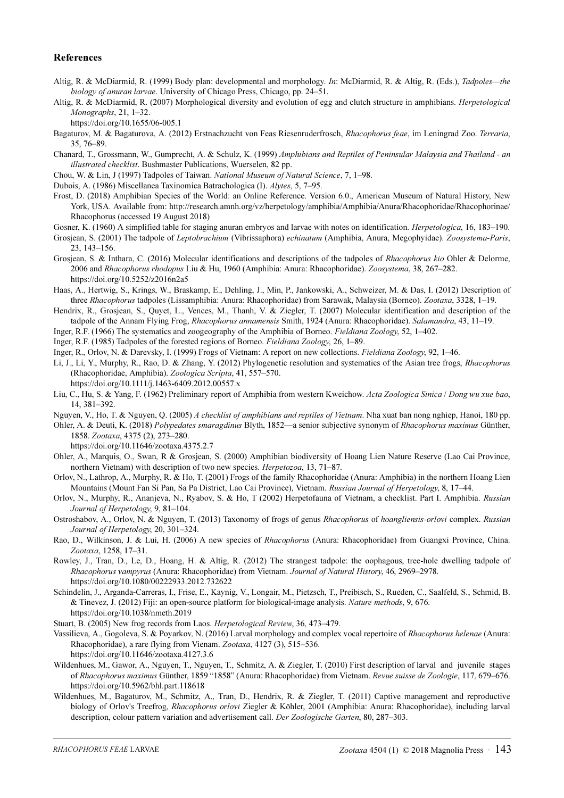## References

- Altig, R. & McDiarmid, R. (1999) Body plan: developmental and morphology. In: McDiarmid, R. & Altig, R. (Eds.), Tadpoles—the biology of anuran larvae. University of Chicago Press, Chicago, pp. 24–51.
- Altig, R. & McDiarmid, R. (2007) Morphological diversity and evolution of egg and clutch structure in amphibians. Herpetological Monographs, 21, 1–32.
	- https://doi.org/10.1655/06-005.1
- Bagaturov, M. & Bagaturova, A. (2012) Erstnachzucht von Feas Riesenruderfrosch, Rhacophorus feae, im Leningrad Zoo. Terraria, 35, 76–89.
- Chanard, T., Grossmann, W., Gumprecht, A. & Schulz, K. (1999) Amphibians and Reptiles of Peninsular Malaysia and Thailand an illustrated checklist. Bushmaster Publications, Wuerselen, 82 pp.
- Chou, W. & Lin, J (1997) Tadpoles of Taiwan. National Museum of Natural Science, 7, 1–98.
- Dubois, A. (1986) Miscellanea Taxinomica Batrachologica (I). Alytes, 5, 7–95.
- Frost, D. (2018) Amphibian Species of the World: an Online Reference. Version 6.0., American Museum of Natural History, New York, USA. Available from: http://research.amnh.org/vz/herpetology/amphibia/Amphibia/Anura/Rhacophoridae/Rhacophorinae/ Rhacophorus (accessed 19 August 2018)
- Gosner, K. (1960) A simplified table for staging anuran embryos and larvae with notes on identification. *Herpetologica*, 16, 183–190.
- Grosjean, S. (2001) The tadpole of Leptobrachium (Vibrissaphora) echinatum (Amphibia, Anura, Megophyidae). Zoosystema-Paris, 23, 143–156.
- Grosjean, S. & Inthara, C. (2016) Molecular identifications and descriptions of the tadpoles of Rhacophorus kio Ohler & Delorme, 2006 and Rhacophorus rhodopus Liu & Hu, 1960 (Amphibia: Anura: Rhacophoridae). Zoosystema, 38, 267–282. https://doi.org/10.5252/z2016n2a5
- Haas, A., Hertwig, S., Krings, W., Braskamp, E., Dehling, J., Min, P., Jankowski, A., Schweizer, M. & Das, I. (2012) Description of three Rhacophorus tadpoles (Lissamphibia: Anura: Rhacophoridae) from Sarawak, Malaysia (Borneo). Zootaxa, 3328, 1–19.
- Hendrix, R., Grosjean, S., Quyet, L., Vences, M., Thanh, V. & Ziegler, T. (2007) Molecular identification and description of the tadpole of the Annam Flying Frog, Rhacophorus annamensis Smith, 1924 (Anura: Rhacophoridae). Salamandra, 43, 11–19.
- Inger, R.F. (1966) The systematics and zoogeography of the Amphibia of Borneo. Fieldiana Zoology, 52, 1–402.
- Inger, R.F. (1985) Tadpoles of the forested regions of Borneo. Fieldiana Zoology, 26, 1–89.
- Inger, R., Orlov, N. & Darevsky, I. (1999) Frogs of Vietnam: A report on new collections. Fieldiana Zoology, 92, 1–46.
- Li, J., Li, Y., Murphy, R., Rao, D. & Zhang, Y. (2012) Phylogenetic resolution and systematics of the Asian tree frogs, Rhacophorus (Rhacophoridae, Amphibia). Zoologica Scripta, 41, 557–570. https://doi.org/10.1111/j.1463-6409.2012.00557.x
- Liu, C., Hu, S. & Yang, F. (1962) Preliminary report of Amphibia from western Kweichow. Acta Zoologica Sinica / Dong wu xue bao, 14, 381–392.
- Nguyen, V., Ho, T. & Nguyen, O. (2005) A checklist of amphibians and reptiles of Vietnam. Nha xuat ban nong nghiep, Hanoi, 180 pp.
- Ohler, A. & Deuti, K. (2018) Polypedates smaragdinus Blyth, 1852—a senior subjective synonym of Rhacophorus maximus Günther, 1858. Zootaxa, 4375 (2), 273–280.
	- https://doi.org/10.11646/zootaxa.4375.2.7
- Ohler, A., Marquis, O., Swan, R & Grosjean, S. (2000) Amphibian biodiversity of Hoang Lien Nature Reserve (Lao Cai Province, northern Vietnam) with description of two new species. Herpetozoa, 13, 71–87.
- Orlov, N., Lathrop, A., Murphy, R. & Ho, T. (2001) Frogs of the family Rhacophoridae (Anura: Amphibia) in the northern Hoang Lien Mountains (Mount Fan Si Pan, Sa Pa District, Lao Cai Province), Vietnam. Russian Journal of Herpetology, 8, 17–44.
- Orlov, N., Murphy, R., Ananjeva, N., Ryabov, S. & Ho, T (2002) Herpetofauna of Vietnam, a checklist. Part I. Amphibia. Russian Journal of Herpetology, 9, 81–104.
- Ostroshabov, A., Orlov, N. & Nguyen, T. (2013) Taxonomy of frogs of genus Rhacophorus of hoangliensis-orlovi complex. Russian Journal of Herpetology, 20, 301–324.
- Rao, D., Wilkinson, J. & Lui, H. (2006) A new species of *Rhacophorus* (Anura: Rhacophoridae) from Guangxi Province, China. Zootaxa, 1258, 17–31.
- Rowley, J., Tran, D., Le, D., Hoang, H. & Altig, R. (2012) The strangest tadpole: the oophagous, tree-hole dwelling tadpole of Rhacophorus vampyrus (Anura: Rhacophoridae) from Vietnam. Journal of Natural History, 46, 2969–2978. https://doi.org/10.1080/00222933.2012.732622
- Schindelin, J., Arganda-Carreras, I., Frise, E., Kaynig, V., Longair, M., Pietzsch, T., Preibisch, S., Rueden, C., Saalfeld, S., Schmid, B. & Tinevez, J. (2012) Fiji: an open-source platform for biological-image analysis. Nature methods, 9, 676. https://doi.org/10.1038/nmeth.2019
- Stuart, B. (2005) New frog records from Laos. Herpetological Review, 36, 473–479.
- Vassilieva, A., Gogoleva, S. & Poyarkov, N. (2016) Larval morphology and complex vocal repertoire of Rhacophorus helenae (Anura: Rhacophoridae), a rare flying from Vienam. Zootaxa, 4127 (3), 515–536. https://doi.org/10.11646/zootaxa.4127.3.6
- Wildenhues, M., Gawor, A., Nguyen, T., Nguyen, T., Schmitz, A. & Ziegler, T. (2010) First description of larval and juvenile stages of Rhacophorus maximus Günther, 1859 "1858" (Anura: Rhacophoridae) from Vietnam. Revue suisse de Zoologie, 117, 679–676. https://doi.org/10.5962/bhl.part.118618
- Wildenhues, M., Bagaturov, M., Schmitz, A., Tran, D., Hendrix, R. & Ziegler, T. (2011) Captive management and reproductive biology of Orlov's Treefrog, Rhacophorus orlovi Ziegler & Köhler, 2001 (Amphibia: Anura: Rhacophoridae), including larval description, colour pattern variation and advertisement call. Der Zoologische Garten, 80, 287–303.